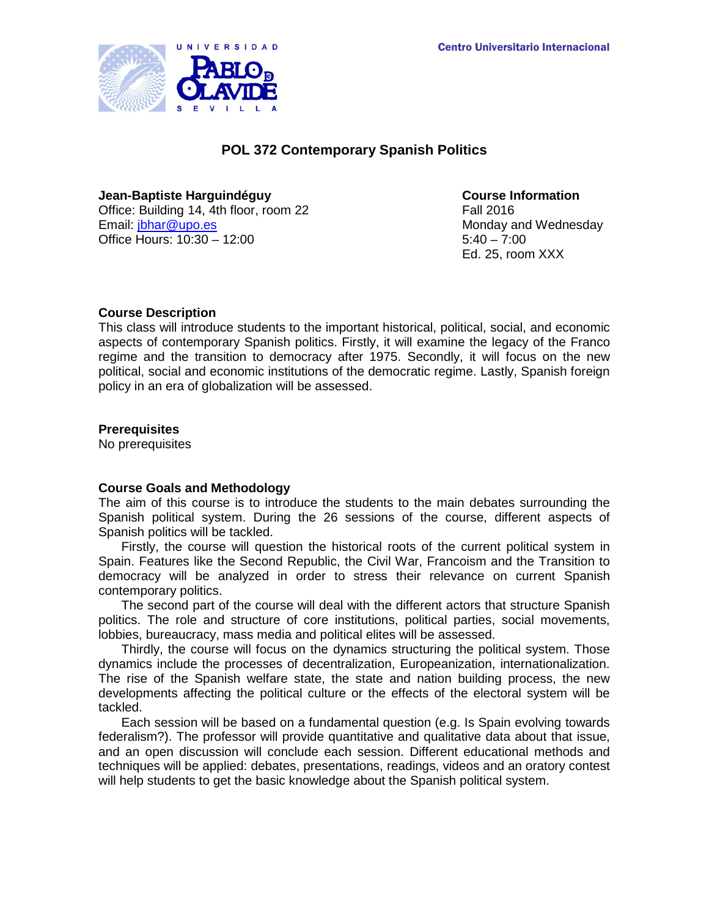

# **POL 372 Contemporary Spanish Politics**

**Jean-Baptiste Harguindéguy Course Information** Office: Building 14, 4th floor, room 22 Fall 2016<br>Email: ibhar@upo.es Office Hours: 10:30 – 12:00

Monday and Wednesday<br> $5:40 - 7:00$ Ed. 25, room XXX

# **Course Description**

This class will introduce students to the important historical, political, social, and economic aspects of contemporary Spanish politics. Firstly, it will examine the legacy of the Franco regime and the transition to democracy after 1975. Secondly, it will focus on the new political, social and economic institutions of the democratic regime. Lastly, Spanish foreign policy in an era of globalization will be assessed.

# **Prerequisites**

No prerequisites

# **Course Goals and Methodology**

The aim of this course is to introduce the students to the main debates surrounding the Spanish political system. During the 26 sessions of the course, different aspects of Spanish politics will be tackled.

Firstly, the course will question the historical roots of the current political system in Spain. Features like the Second Republic, the Civil War, Francoism and the Transition to democracy will be analyzed in order to stress their relevance on current Spanish contemporary politics.

The second part of the course will deal with the different actors that structure Spanish politics. The role and structure of core institutions, political parties, social movements, lobbies, bureaucracy, mass media and political elites will be assessed.

Thirdly, the course will focus on the dynamics structuring the political system. Those dynamics include the processes of decentralization, Europeanization, internationalization. The rise of the Spanish welfare state, the state and nation building process, the new developments affecting the political culture or the effects of the electoral system will be tackled.

Each session will be based on a fundamental question (e.g. Is Spain evolving towards federalism?). The professor will provide quantitative and qualitative data about that issue, and an open discussion will conclude each session. Different educational methods and techniques will be applied: debates, presentations, readings, videos and an oratory contest will help students to get the basic knowledge about the Spanish political system.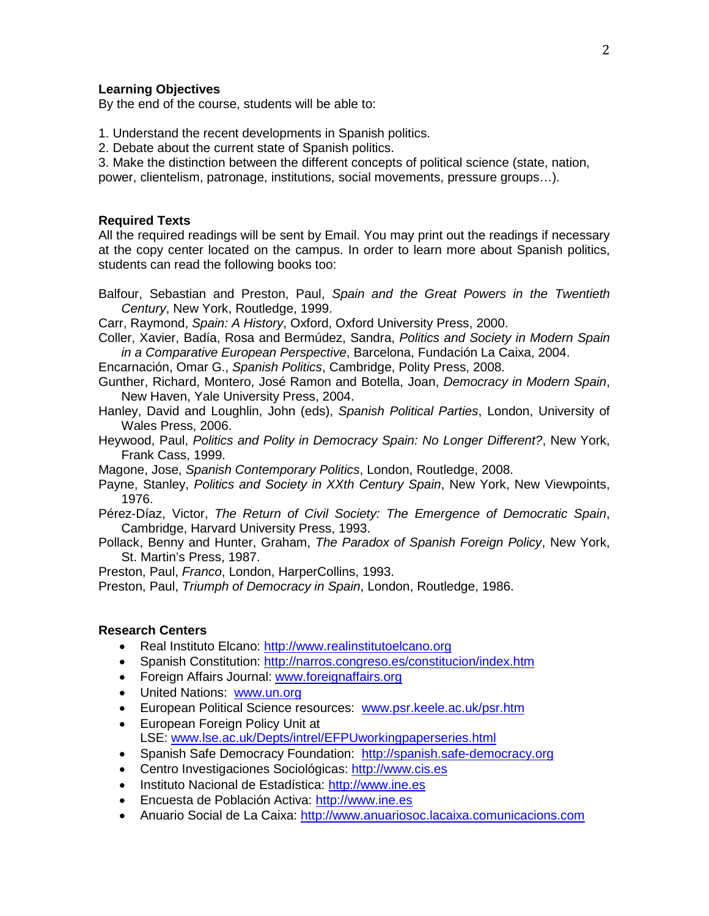## **Learning Objectives**

By the end of the course, students will be able to:

- 1. Understand the recent developments in Spanish politics.
- 2. Debate about the current state of Spanish politics.

3. Make the distinction between the different concepts of political science (state, nation, power, clientelism, patronage, institutions, social movements, pressure groups…).

#### **Required Texts**

All the required readings will be sent by Email. You may print out the readings if necessary at the copy center located on the campus. In order to learn more about Spanish politics, students can read the following books too:

Balfour, Sebastian and Preston, Paul, *Spain and the Great Powers in the Twentieth Century*, New York, Routledge, 1999.

Carr, Raymond, *Spain: A History*, Oxford, Oxford University Press, 2000.

- Coller, Xavier, Badía, Rosa and Bermúdez, Sandra, *Politics and Society in Modern Spain in a Comparative European Perspective*, Barcelona, Fundación La Caixa, 2004.
- Encarnación, Omar G., *Spanish Politics*, Cambridge, Polity Press, 2008.

Gunther, Richard, Montero, José Ramon and Botella, Joan, *Democracy in Modern Spain*, New Haven, Yale University Press, 2004.

- Hanley, David and Loughlin, John (eds), *Spanish Political Parties*, London, University of Wales Press, 2006.
- Heywood, Paul, *Politics and Polity in Democracy Spain: No Longer Different?*, New York, Frank Cass, 1999.
- Magone, Jose, *Spanish Contemporary Politics*, London, Routledge, 2008.
- Payne, Stanley, *Politics and Society in XXth Century Spain*, New York, New Viewpoints, 1976.
- Pérez-Díaz, Victor, *The Return of Civil Society: The Emergence of Democratic Spain*, Cambridge, Harvard University Press, 1993.
- Pollack, Benny and Hunter, Graham, *The Paradox of Spanish Foreign Policy*, New York, St. Martin's Press, 1987.

Preston, Paul, *Franco*, London, HarperCollins, 1993.

Preston, Paul, *Triumph of Democracy in Spain*, London, Routledge, 1986.

### **Research Centers**

- Real Instituto Elcano: [http://www.realinstitutoelcano.org](http://www.realinstitutoelcano.org/)
- Spanish Constitution:<http://narros.congreso.es/constitucion/index.htm>
- Foreign Affairs Journal: [www.foreignaffairs.org](http://www.foreignaffairs.org/)
- United Nations: [www.un.org](http://www.un.org/)
- European Political Science resources: [www.psr.keele.ac.uk/psr.htm](http://www.psr.keele.ac.uk/psr.htm)
- European Foreign Policy Unit at LSE: [www.lse.ac.uk/Depts/intrel/EFPUworkingpaperseries.html](http://www.lse.ac.uk/Depts/intrel/EFPUworkingpaperseries.html)
- Spanish Safe Democracy Foundation: [http://spanish.safe-democracy.org](http://spanish.safe-democracy.org/)
- Centro Investigaciones Sociológicas: [http://www.cis.es](http://www.cis.es/)
- Instituto Nacional de Estadística: [http://www.ine.es](http://www.ine.es/)
- Encuesta de Población Activa: [http://www.ine.es](http://www.ine.es/)
- Anuario Social de La Caixa: [http://www.anuariosoc.lacaixa.comunicacions.com](http://www.anuariosoc.lacaixa.comunicacions.com/)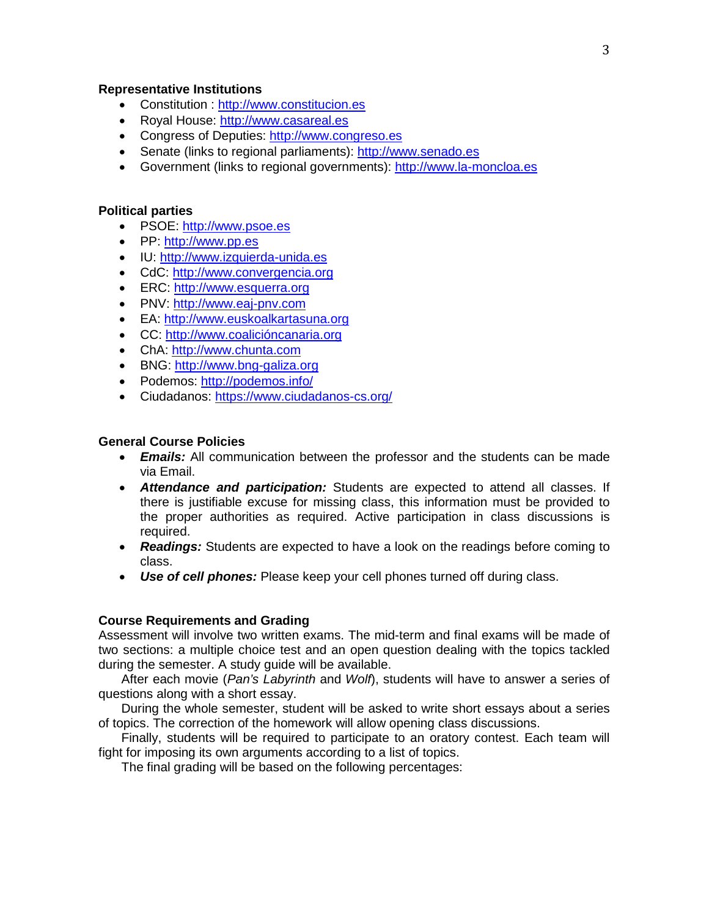### **Representative Institutions**

- Constitution : [http://www.constitucion.es](http://www.constitucion.es/)
- Royal House: [http://www.casareal.es](http://www.casareal.es/)
- Congress of Deputies: [http://www.congreso.es](http://www.congreso.es/)
- Senate (links to regional parliaments): [http://www.senado.es](http://www.senado.es/)
- Government (links to regional governments): [http://www.la-moncloa.es](http://www.la-moncloa.es/)

## **Political parties**

- PSOE: [http://www.psoe.es](http://www.psoe.es/)
- PP: [http://www.pp.es](http://www.pp.es/)
- IU: [http://www.izquierda-unida.es](http://www.izquierda-unida.es/)
- CdC: [http://www.convergencia.org](http://www.convergencia.org/)
- ERC: [http://www.esquerra.org](http://www.esquerra.org/)
- PNV: [http://www.eaj-pnv.com](http://www.eaj-pnv.com/)
- EA: [http://www.euskoalkartasuna.org](http://www.euskoalkartasuna.org/)
- CC: [http://www.coalicióncanaria.org](http://www.coalicióncanaria.org/)
- ChA: [http://www.chunta.com](http://www.chunta.com/)
- BNG: [http://www.bng-galiza.org](http://www.bng-galiza.org/)
- Podemos:<http://podemos.info/>
- Ciudadanos:<https://www.ciudadanos-cs.org/>

### **General Course Policies**

- *Emails:* All communication between the professor and the students can be made via Email.
- *Attendance and participation:* Students are expected to attend all classes. If there is justifiable excuse for missing class, this information must be provided to the proper authorities as required. Active participation in class discussions is required.
- *Readings:* Students are expected to have a look on the readings before coming to class.
- *Use of cell phones:* Please keep your cell phones turned off during class.

#### **Course Requirements and Grading**

Assessment will involve two written exams. The mid-term and final exams will be made of two sections: a multiple choice test and an open question dealing with the topics tackled during the semester. A study guide will be available.

After each movie (*Pan's Labyrinth* and *Wolf*), students will have to answer a series of questions along with a short essay.

During the whole semester, student will be asked to write short essays about a series of topics. The correction of the homework will allow opening class discussions.

Finally, students will be required to participate to an oratory contest. Each team will fight for imposing its own arguments according to a list of topics.

The final grading will be based on the following percentages: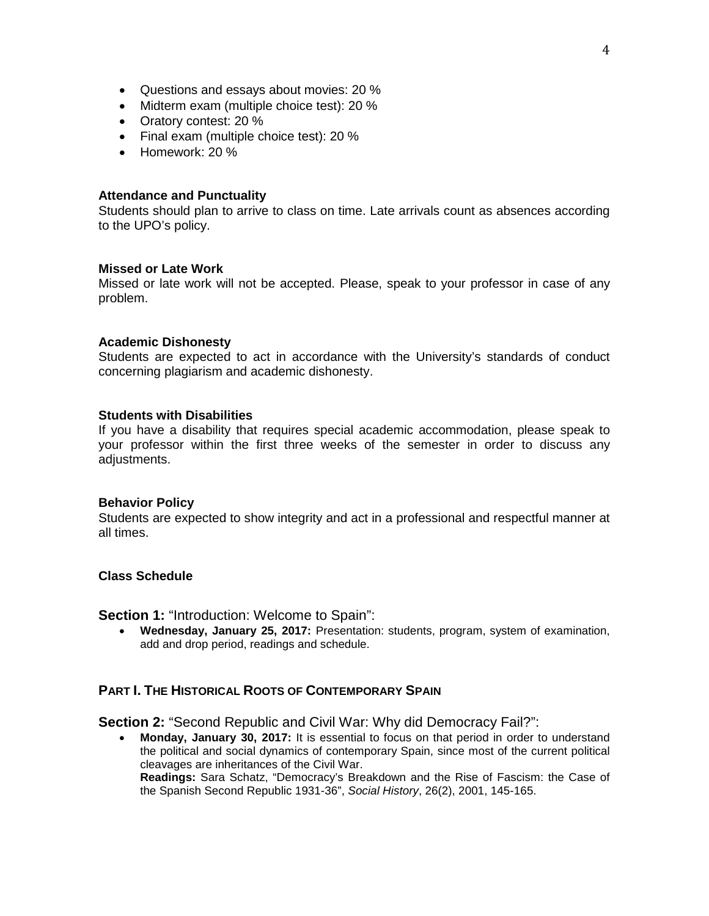- Questions and essays about movies: 20 %
- Midterm exam (multiple choice test): 20 %
- Oratory contest: 20 %
- Final exam (multiple choice test): 20 %
- Homework: 20 %

#### **Attendance and Punctuality**

Students should plan to arrive to class on time. Late arrivals count as absences according to the UPO's policy.

#### **Missed or Late Work**

Missed or late work will not be accepted. Please, speak to your professor in case of any problem.

#### **Academic Dishonesty**

Students are expected to act in accordance with the University's standards of conduct concerning plagiarism and academic dishonesty.

#### **Students with Disabilities**

If you have a disability that requires special academic accommodation, please speak to your professor within the first three weeks of the semester in order to discuss any adjustments.

#### **Behavior Policy**

Students are expected to show integrity and act in a professional and respectful manner at all times.

#### **Class Schedule**

**Section 1: "Introduction: Welcome to Spain":** 

• **Wednesday, January 25, 2017:** Presentation: students, program, system of examination, add and drop period, readings and schedule.

## **PART I. THE HISTORICAL ROOTS OF CONTEMPORARY SPAIN**

**Section 2:** "Second Republic and Civil War: Why did Democracy Fail?":

• **Monday, January 30, 2017:** It is essential to focus on that period in order to understand the political and social dynamics of contemporary Spain, since most of the current political cleavages are inheritances of the Civil War. **Readings:** Sara Schatz, "Democracy's Breakdown and the Rise of Fascism: the Case of the Spanish Second Republic 1931-36", *Social History*, 26(2), 2001, 145-165.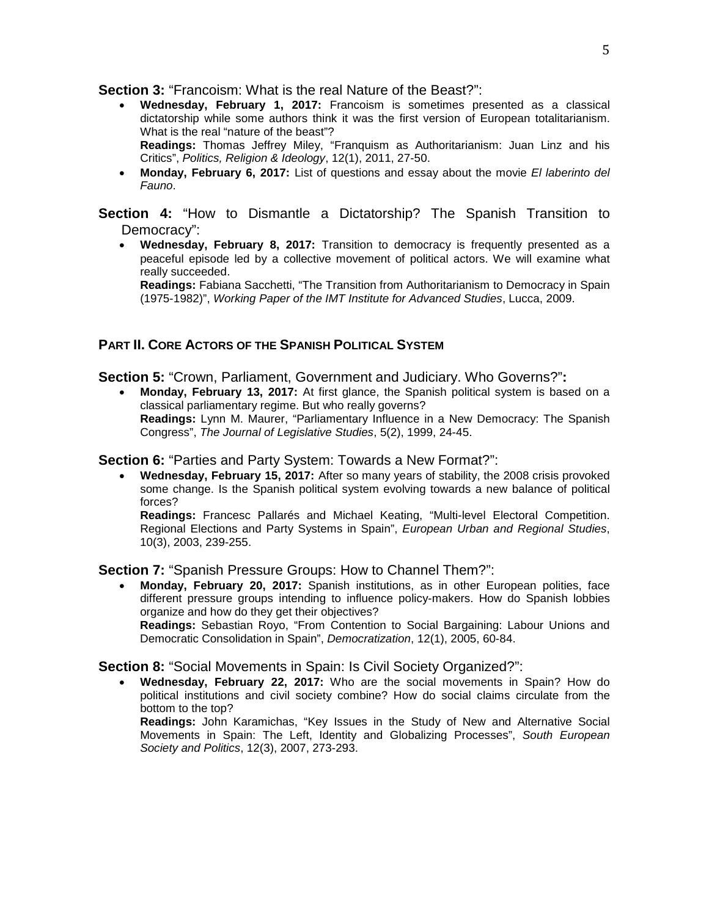**Section 3:** "Francoism: What is the real Nature of the Beast?":

- **Wednesday, February 1, 2017:** Francoism is sometimes presented as a classical dictatorship while some authors think it was the first version of European totalitarianism. What is the real "nature of the beast"? **Readings:** Thomas Jeffrey Miley, "Franquism as Authoritarianism: Juan Linz and his Critics", *Politics, Religion & Ideology*, 12(1), 2011, 27-50.
- **Monday, February 6, 2017:** List of questions and essay about the movie *El laberinto del Fauno*.

**Section 4:** "How to Dismantle a Dictatorship? The Spanish Transition to Democracy":

• **Wednesday, February 8, 2017:** Transition to democracy is frequently presented as a peaceful episode led by a collective movement of political actors. We will examine what really succeeded.

**Readings:** Fabiana Sacchetti, "The Transition from Authoritarianism to Democracy in Spain (1975-1982)", *Working Paper of the IMT Institute for Advanced Studies*, Lucca, 2009.

## **PART II. CORE ACTORS OF THE SPANISH POLITICAL SYSTEM**

**Section 5:** "Crown, Parliament, Government and Judiciary. Who Governs?"**:**

• **Monday, February 13, 2017:** At first glance, the Spanish political system is based on a classical parliamentary regime. But who really governs? **Readings:** Lynn M. Maurer, "Parliamentary Influence in a New Democracy: The Spanish Congress", *The Journal of Legislative Studies*, 5(2), 1999, 24-45.

**Section 6:** "Parties and Party System: Towards a New Format?":

• **Wednesday, February 15, 2017:** After so many years of stability, the 2008 crisis provoked some change. Is the Spanish political system evolving towards a new balance of political forces?

**Readings:** Francesc Pallarés and Michael Keating, "Multi-level Electoral Competition. Regional Elections and Party Systems in Spain", *European Urban and Regional Studies*, 10(3), 2003, 239-255.

**Section 7:** "Spanish Pressure Groups: How to Channel Them?":

• **Monday, February 20, 2017:** Spanish institutions, as in other European polities, face different pressure groups intending to influence policy-makers. How do Spanish lobbies organize and how do they get their objectives? **Readings:** Sebastian Royo, "From Contention to Social Bargaining: Labour Unions and

Democratic Consolidation in Spain", *Democratization*, 12(1), 2005, 60-84.

**Section 8:** "Social Movements in Spain: Is Civil Society Organized?":

• **Wednesday, February 22, 2017:** Who are the social movements in Spain? How do political institutions and civil society combine? How do social claims circulate from the bottom to the top?

**Readings:** John Karamichas, "Key Issues in the Study of New and Alternative Social Movements in Spain: The Left, Identity and Globalizing Processes", *South European Society and Politics*, 12(3), 2007, 273-293.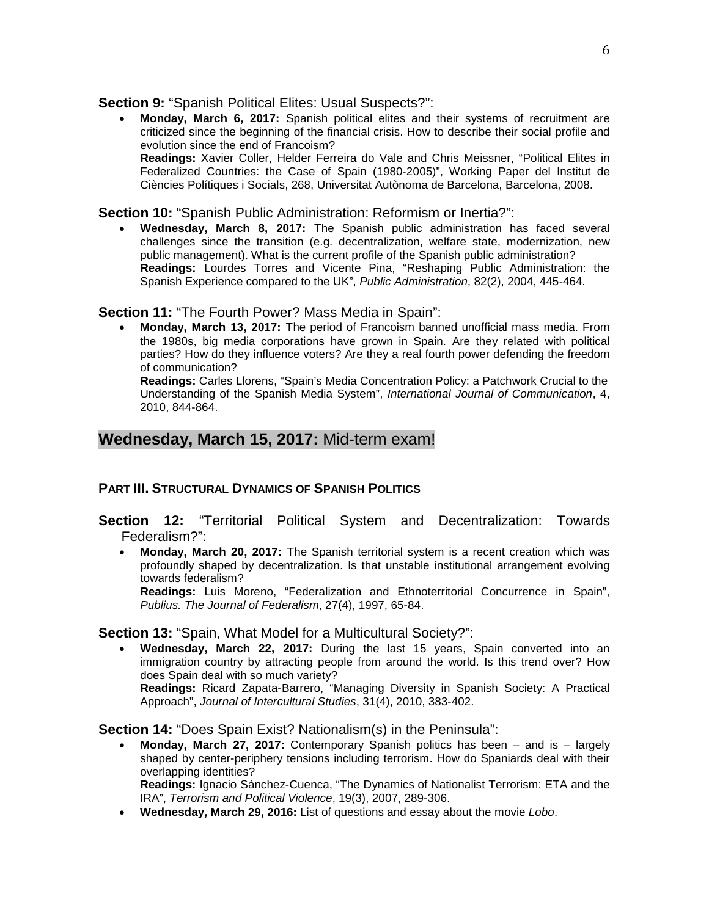## **Section 9:** "Spanish Political Elites: Usual Suspects?":

• **Monday, March 6, 2017:** Spanish political elites and their systems of recruitment are criticized since the beginning of the financial crisis. How to describe their social profile and evolution since the end of Francoism? **Readings:** Xavier Coller, Helder Ferreira do Vale and Chris Meissner, "Political Elites in Federalized Countries: the Case of Spain (1980-2005)", Working Paper del Institut de Ciències Polítiques i Socials, 268, Universitat Autònoma de Barcelona, Barcelona, 2008.

**Section 10:** "Spanish Public Administration: Reformism or Inertia?":

• **Wednesday, March 8, 2017:** The Spanish public administration has faced several challenges since the transition (e.g. decentralization, welfare state, modernization, new public management). What is the current profile of the Spanish public administration? **Readings:** Lourdes Torres and Vicente Pina, "Reshaping Public Administration: the Spanish Experience compared to the UK", *Public Administration*, 82(2), 2004, 445-464.

## **Section 11:** "The Fourth Power? Mass Media in Spain":

• **Monday, March 13, 2017:** The period of Francoism banned unofficial mass media. From the 1980s, big media corporations have grown in Spain. Are they related with political parties? How do they influence voters? Are they a real fourth power defending the freedom of communication?

**Readings:** Carles Llorens, "Spain's Media Concentration Policy: a Patchwork Crucial to the Understanding of the Spanish Media System", *International Journal of Communication*, 4, 2010, 844-864.

# **Wednesday, March 15, 2017:** Mid-term exam!

# **PART III. STRUCTURAL DYNAMICS OF SPANISH POLITICS**

- **Section 12:** "Territorial Political System and Decentralization: Towards Federalism?":
	- **Monday, March 20, 2017:** The Spanish territorial system is a recent creation which was profoundly shaped by decentralization. Is that unstable institutional arrangement evolving towards federalism?

**Readings:** Luis Moreno, "Federalization and Ethnoterritorial Concurrence in Spain", *Publius. The Journal of Federalism*, 27(4), 1997, 65-84.

**Section 13:** "Spain, What Model for a Multicultural Society?":

• **Wednesday, March 22, 2017:** During the last 15 years, Spain converted into an immigration country by attracting people from around the world. Is this trend over? How does Spain deal with so much variety? **Readings:** Ricard Zapata-Barrero, "Managing Diversity in Spanish Society: A Practical

Approach", *Journal of Intercultural Studies*, 31(4), 2010, 383-402.

**Section 14:** "Does Spain Exist? Nationalism(s) in the Peninsula":

• **Monday, March 27, 2017:** Contemporary Spanish politics has been – and is – largely shaped by center-periphery tensions including terrorism. How do Spaniards deal with their overlapping identities?

**Readings:** Ignacio Sánchez-Cuenca, "The Dynamics of Nationalist Terrorism: ETA and the IRA", *Terrorism and Political Violence*, 19(3), 2007, 289-306.

• **Wednesday, March 29, 2016:** List of questions and essay about the movie *Lobo*.